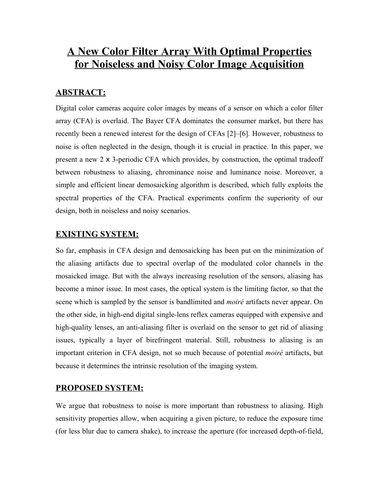# **A New Color Filter Array With Optimal Properties for Noiseless and Noisy Color Image Acquisition**

## **ABSTRACT:**

Digital color cameras acquire color images by means of a sensor on which a color filter array (CFA) is overlaid. The Bayer CFA dominates the consumer market, but there has recently been a renewed interest for the design of CFAs [2]–[6]. However, robustness to noise is often neglected in the design, though it is crucial in practice. In this paper, we present a new 2 x 3-periodic CFA which provides, by construction, the optimal tradeoff between robustness to aliasing, chrominance noise and luminance noise. Moreover, a simple and efficient linear demosaicking algorithm is described, which fully exploits the spectral properties of the CFA. Practical experiments confirm the superiority of our design, both in noiseless and noisy scenarios.

# **EXISTING SYSTEM:**

So far, emphasis in CFA design and demosaicking has been put on the minimization of the aliasing artifacts due to spectral overlap of the modulated color channels in the mosaicked image. But with the always increasing resolution of the sensors, aliasing has become a minor issue. In most cases, the optical system is the limiting factor, so that the scene which is sampled by the sensor is bandlimited and *moiré* artifacts never appear. On the other side, in high-end digital single-lens reflex cameras equipped with expensive and high-quality lenses, an anti-aliasing filter is overlaid on the sensor to get rid of aliasing issues, typically a layer of birefringent material. Still, robustness to aliasing is an important criterion in CFA design, not so much because of potential *moiré* artifacts, but because it determines the intrinsic resolution of the imaging system.

### **PROPOSED SYSTEM:**

We argue that robustness to noise is more important than robustness to aliasing. High sensitivity properties allow, when acquiring a given picture, to reduce the exposure time (for less blur due to camera shake), to increase the aperture (for increased depth-of-field,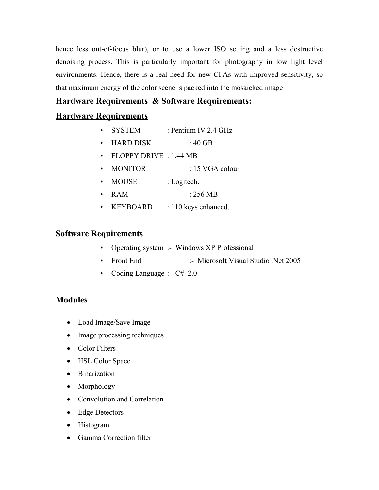hence less out-of-focus blur), or to use a lower ISO setting and a less destructive denoising process. This is particularly important for photography in low light level environments. Hence, there is a real need for new CFAs with improved sensitivity, so that maximum energy of the color scene is packed into the mosaicked image

# **Hardware Requirements & Software Requirements:**

# **Hardware Requirements**

- SYSTEM : Pentium IV 2.4 GHz
- HARD DISK : 40 GB
- FLOPPY DRIVE : 1.44 MB
- MONITOR : 15 VGA colour
- MOUSE : Logitech.
- RAM : 256 MB
- KEYBOARD : 110 keys enhanced.

# **Software Requirements**

- Operating system :- Windows XP Professional
- Front End :- Microsoft Visual Studio .Net 2005
- Coding Language :-  $C# 2.0$

# **Modules**

- · Load Image/Save Image
- Image processing techniques
- Color Filters
- HSL Color Space
- · Binarization
- Morphology
- · Convolution and Correlation
- · Edge Detectors
- Histogram
- Gamma Correction filter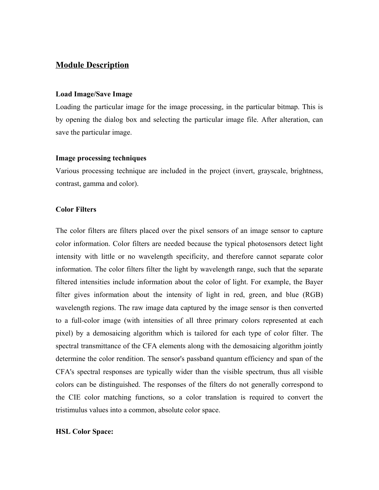## **Module Description**

#### **Load Image/Save Image**

Loading the particular image for the image processing, in the particular bitmap. This is by opening the dialog box and selecting the particular image file. After alteration, can save the particular image.

#### **Image processing techniques**

Various processing technique are included in the project (invert, grayscale, brightness, contrast, gamma and color).

#### **Color Filters**

The color filters are filters placed over the pixel sensors of an image sensor to capture color information. Color filters are needed because the typical photosensors detect light intensity with little or no wavelength specificity, and therefore cannot separate color information. The color filters filter the light by wavelength range, such that the separate filtered intensities include information about the color of light. For example, the Bayer filter gives information about the intensity of light in red, green, and blue (RGB) wavelength regions. The raw image data captured by the image sensor is then converted to a full-color image (with intensities of all three primary colors represented at each pixel) by a demosaicing algorithm which is tailored for each type of color filter. The spectral transmittance of the CFA elements along with the demosaicing algorithm jointly determine the color rendition. The sensor's passband quantum efficiency and span of the CFA's spectral responses are typically wider than the visible spectrum, thus all visible colors can be distinguished. The responses of the filters do not generally correspond to the CIE color matching functions, so a color translation is required to convert the tristimulus values into a common, absolute color space.

#### **HSL Color Space:**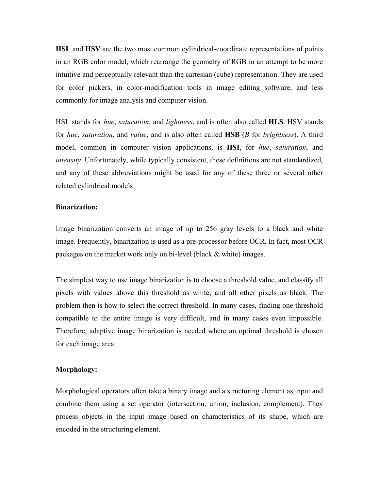**HSL** and **HSV** are the two most common cylindrical-coordinate representations of points in an RGB color model, which rearrange the geometry of RGB in an attempt to be more intuitive and perceptually relevant than the cartesian (cube) representation. They are used for color pickers, in color-modification tools in image editing software, and less commonly for image analysis and computer vision.

HSL stands for *hue*, *saturation*, and *lightness*, and is often also called **HLS**. HSV stands for *hue*, *saturation*, and *value*, and is also often called **HSB** (*B* for *brightness*). A third model, common in computer vision applications, is **HSI**, for *hue*, *saturation*, and *intensity*. Unfortunately, while typically consistent, these definitions are not standardized, and any of these abbreviations might be used for any of these three or several other related cylindrical models

#### **Binarization:**

Image binarization converts an image of up to 256 gray levels to a black and white image. Frequently, binarization is used as a pre-processor before OCR. In fact, most OCR packages on the market work only on bi-level (black & white) images.

The simplest way to use image binarization is to choose a threshold value, and classify all pixels with values above this threshold as white, and all other pixels as black. The problem then is how to select the correct threshold. In many cases, finding one threshold compatible to the entire image is very difficult, and in many cases even impossible. Therefore, adaptive image binarization is needed where an optimal threshold is chosen for each image area.

#### **Morphology:**

Morphological operators often take a binary image and a structuring element as input and combine them using a set operator (intersection, union, inclusion, complement). They process objects in the input image based on characteristics of its shape, which are encoded in the structuring element.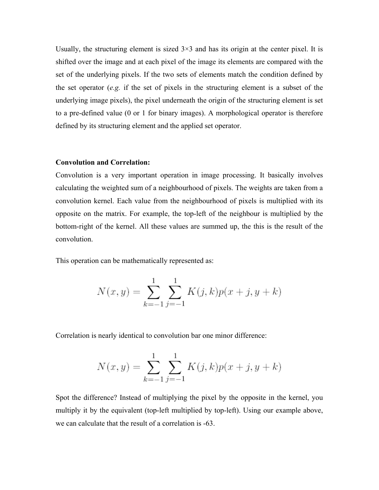Usually, the structuring element is sized  $3\times3$  and has its origin at the center pixel. It is shifted over the image and at each pixel of the image its elements are compared with the set of the underlying pixels. If the two sets of elements match the condition defined by the set operator (*e.g.* if the set of pixels in the structuring element is a subset of the underlying image pixels), the pixel underneath the origin of the structuring element is set to a pre-defined value (0 or 1 for binary images). A morphological operator is therefore defined by its structuring element and the applied set operator.

#### **Convolution and Correlation:**

Convolution is a very important operation in image processing. It basically involves calculating the weighted sum of a neighbourhood of pixels. The weights are taken from a convolution kernel. Each value from the neighbourhood of pixels is multiplied with its opposite on the matrix. For example, the top-left of the neighbour is multiplied by the bottom-right of the kernel. All these values are summed up, the this is the result of the convolution.

This operation can be mathematically represented as:

$$
N(x, y) = \sum_{k=-1}^{1} \sum_{j=-1}^{1} K(j, k) p(x + j, y + k)
$$

Correlation is nearly identical to convolution bar one minor difference:

$$
N(x, y) = \sum_{k=-1}^{1} \sum_{j=-1}^{1} K(j, k) p(x + j, y + k)
$$

Spot the difference? Instead of multiplying the pixel by the opposite in the kernel, you multiply it by the equivalent (top-left multiplied by top-left). Using our example above, we can calculate that the result of a correlation is -63.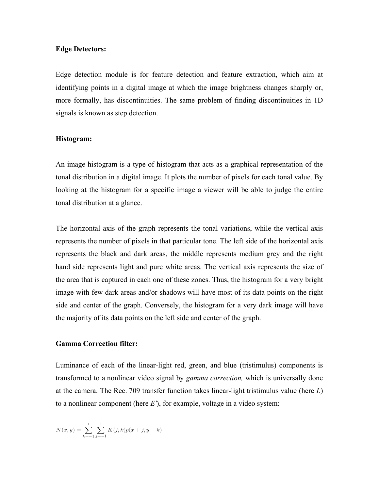#### **Edge Detectors:**

Edge detection module is for feature detection and feature extraction, which aim at identifying points in a digital image at which the image brightness changes sharply or, more formally, has discontinuities. The same problem of finding discontinuities in 1D signals is known as step detection.

#### **Histogram:**

An image histogram is a type of histogram that acts as a graphical representation of the tonal distribution in a digital image. It plots the number of pixels for each tonal value. By looking at the histogram for a specific image a viewer will be able to judge the entire tonal distribution at a glance.

The horizontal axis of the graph represents the tonal variations, while the vertical axis represents the number of pixels in that particular tone. The left side of the horizontal axis represents the black and dark areas, the middle represents medium grey and the right hand side represents light and pure white areas. The vertical axis represents the size of the area that is captured in each one of these zones. Thus, the histogram for a very bright image with few dark areas and/or shadows will have most of its data points on the right side and center of the graph. Conversely, the histogram for a very dark image will have the majority of its data points on the left side and center of the graph.

#### **Gamma Correction filter:**

Luminance of each of the linear-light red, green, and blue (tristimulus) components is transformed to a nonlinear video signal by *gamma correction,* which is universally done at the camera. The Rec. 709 transfer function takes linear-light tristimulus value (here *L*) to a nonlinear component (here *E'*), for example, voltage in a video system:

$$
N(x, y) = \sum_{k=-1}^{1} \sum_{j=-1}^{1} K(j, k) p(x + j, y + k)
$$